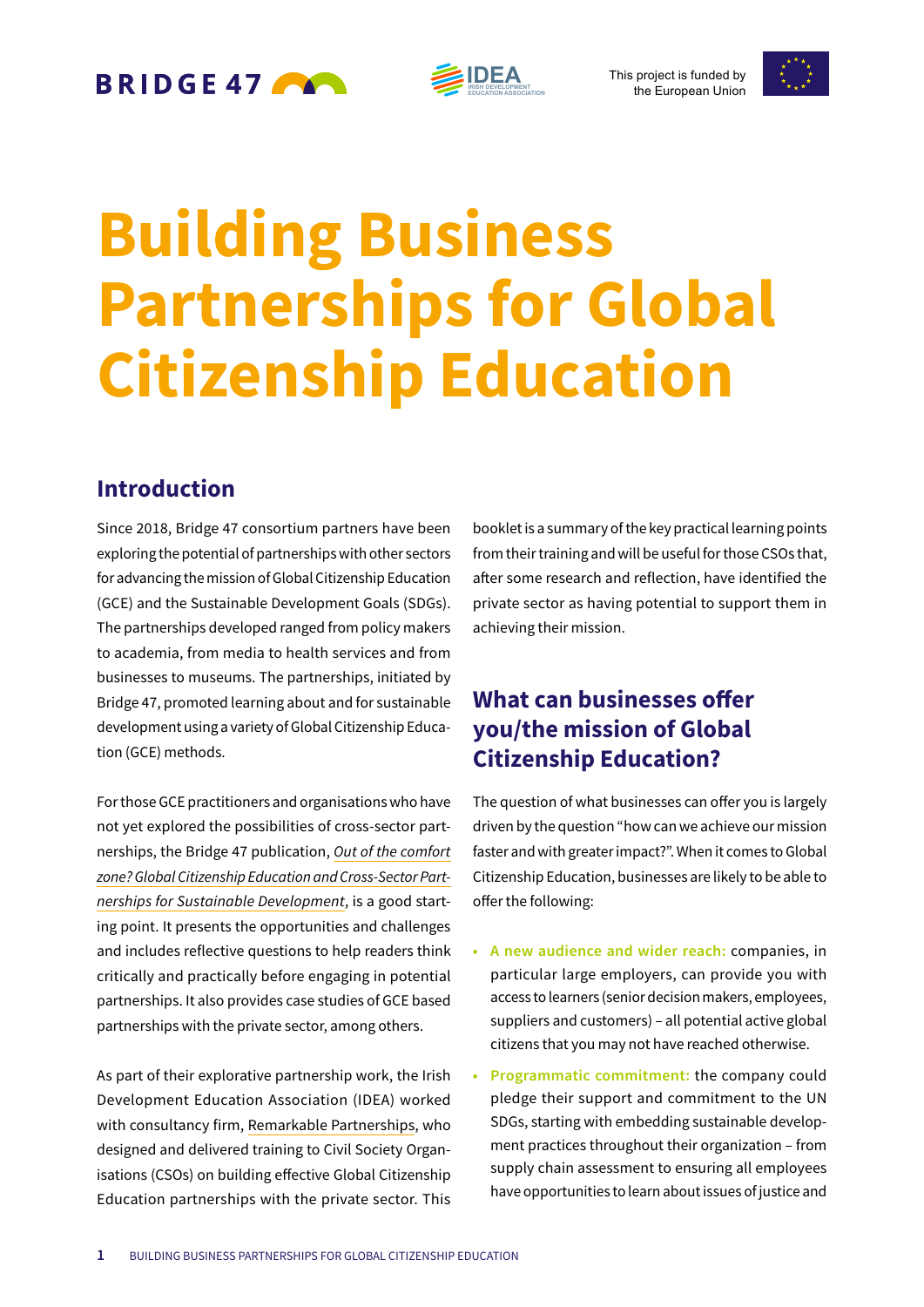BRIDGE 47

**IDEA EDUCATION ASSOCIATION** 

This project is funded by the European Union



# **Building Business Partnerships for Global Citizenship Education**

## **Introduction**

Since 2018, Bridge 47 consortium partners have been exploring the potential of partnerships with other sectors for advancing the mission of Global Citizenship Education (GCE) and the Sustainable Development Goals (SDGs). The partnerships developed ranged from policy makers to academia, from media to health services and from businesses to museums. The partnerships, initiated by Bridge 47, promoted learning about and for sustainable development using a variety of Global Citizenship Education (GCE) methods.

For those GCE practitioners and organisations who have not yet explored the possibilities of cross-sector partnerships, the Bridge 47 publication, *Out of the comfort zone? Global Citizenship Education and Cross-Sector Partnerships for Sustainable Development*, is a good starting point. It presents the opportunities and challenges and includes reflective questions to help readers think critically and practically before engaging in potential partnerships. It also provides case studies of GCE based partnerships with the private sector, among others.

As part of their explorative partnership work, the Irish Development Education Association (IDEA) worked with consultancy firm, Remarkable Partnerships, who designed and delivered training to Civil Society Organisations (CSOs) on building effective Global Citizenship Education partnerships with the private sector. This

booklet is a summary of the key practical learning points from their training and will be useful for those CSOs that, after some research and reflection, have identified the private sector as having potential to support them in achieving their mission.

# **What can businesses offer you/the mission of Global Citizenship Education?**

The question of what businesses can offer you is largely driven by the question "how can we achieve our mission faster and with greater impact?". When it comes to Global Citizenship Education, businesses are likely to be able to offer the following:

- **• A new audience and wider reach:** companies, in particular large employers, can provide you with access to learners (senior decision makers, employees, suppliers and customers) – all potential active global citizens that you may not have reached otherwise.
- **• Programmatic commitment:** the company could pledge their support and commitment to the UN SDGs, starting with embedding sustainable development practices throughout their organization – from supply chain assessment to ensuring all employees have opportunities to learn about issues of justice and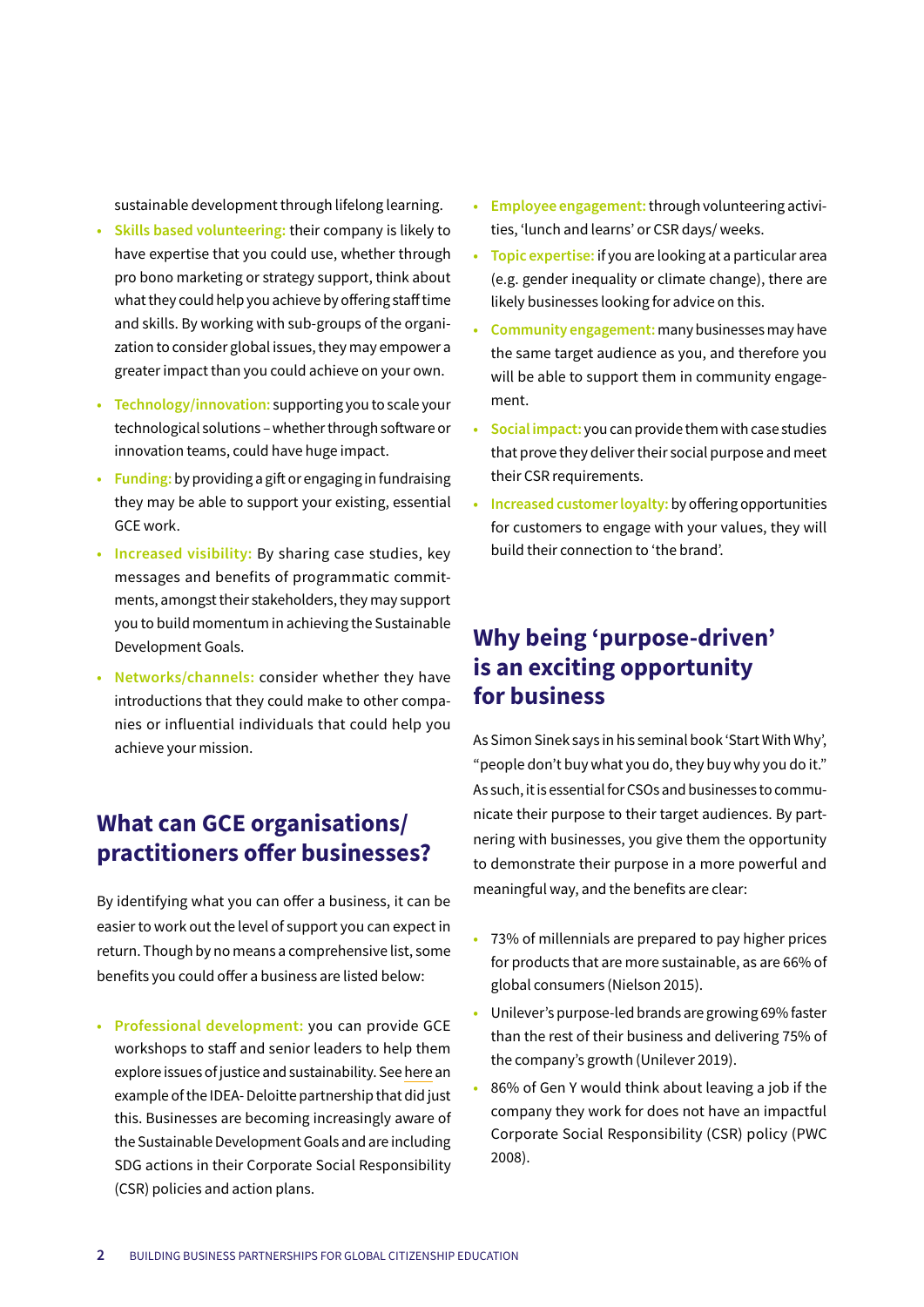sustainable development through lifelong learning.

- **• Skills based volunteering:** their company is likely to have expertise that you could use, whether through pro bono marketing or strategy support, think about what they could help you achieve by offering staff time and skills. By working with sub-groups of the organization to consider global issues, they may empower a greater impact than you could achieve on your own.
- **• Technology/innovation:** supporting you to scale your technological solutions – whether through software or innovation teams, could have huge impact.
- **• Funding:** by providing a gift or engaging in fundraising they may be able to support your existing, essential GCE work.
- **• Increased visibility:** By sharing case studies, key messages and benefits of programmatic commitments, amongst their stakeholders, they may support you to build momentum in achieving the Sustainable Development Goals.
- **• Networks/channels:** consider whether they have introductions that they could make to other companies or influential individuals that could help you achieve your mission.

## **What can GCE organisations/ practitioners offer businesses?**

By identifying what you can offer a business, it can be easier to work out the level of support you can expect in return. Though by no means a comprehensive list, some benefits you could offer a business are listed below:

**• Professional development:** you can provide GCE workshops to staff and senior leaders to help them explore issues of justice and sustainability. See here an example of the IDEA- Deloitte partnership that did just this. Businesses are becoming increasingly aware of the Sustainable Development Goals and are including SDG actions in their Corporate Social Responsibility (CSR) policies and action plans.

- **• Employee engagement:** through volunteering activities, 'lunch and learns' or CSR days/ weeks.
- **• Topic expertise:** if you are looking at a particular area (e.g. gender inequality or climate change), there are likely businesses looking for advice on this.
- **• Community engagement:** many businesses may have the same target audience as you, and therefore you will be able to support them in community engagement.
- **• Social impact:** you can provide them with case studies that prove they deliver their social purpose and meet their CSR requirements.
- **• Increased customer loyalty:** by offering opportunities for customers to engage with your values, they will build their connection to 'the brand'.

## **Why being 'purpose-driven' is an exciting opportunity for business**

As Simon Sinek says in his seminal book 'Start With Why', "people don't buy what you do, they buy why you do it." As such, it is essential for CSOs and businesses to communicate their purpose to their target audiences. By partnering with businesses, you give them the opportunity to demonstrate their purpose in a more powerful and meaningful way, and the benefits are clear:

- **•** 73% of millennials are prepared to pay higher prices for products that are more sustainable, as are 66% of global consumers (Nielson 2015).
- **•** Unilever's purpose-led brands are growing 69% faster than the rest of their business and delivering 75% of the company's growth (Unilever 2019).
- **•** 86% of Gen Y would think about leaving a job if the company they work for does not have an impactful Corporate Social Responsibility (CSR) policy (PWC 2008).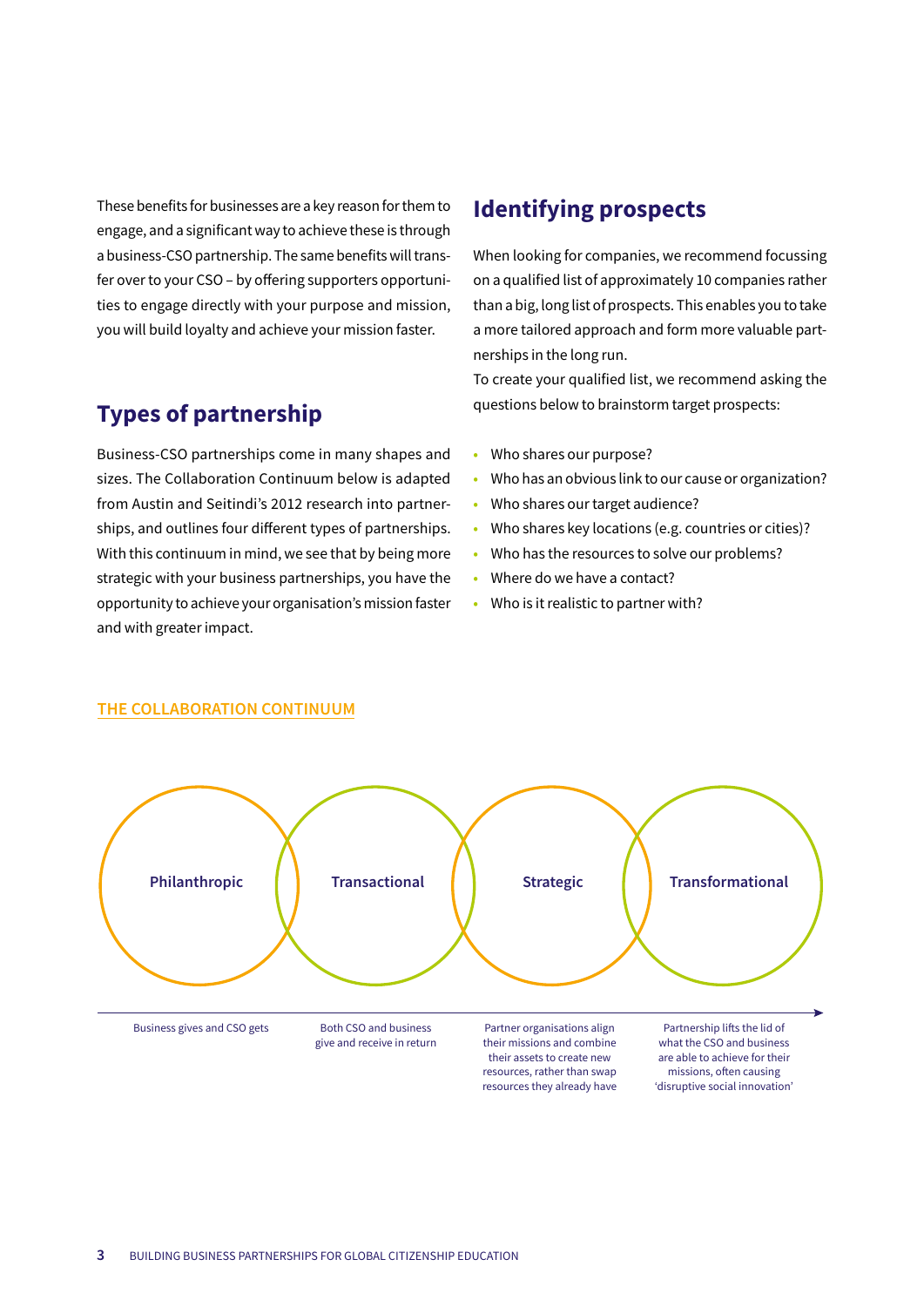These benefits for businesses are a key reason for them to engage, and a significant way to achieve these is through a business-CSO partnership. The same benefits will transfer over to your CSO – by offering supporters opportunities to engage directly with your purpose and mission, you will build loyalty and achieve your mission faster.

## **Types of partnership**

Business-CSO partnerships come in many shapes and sizes. The Collaboration Continuum below is adapted from Austin and Seitindi's 2012 research into partnerships, and outlines four different types of partnerships. With this continuum in mind, we see that by being more strategic with your business partnerships, you have the opportunity to achieve your organisation's mission faster and with greater impact.

## **Identifying prospects**

When looking for companies, we recommend focussing on a qualified list of approximately 10 companies rather than a big, long list of prospects. This enables you to take a more tailored approach and form more valuable partnerships in the long run.

To create your qualified list, we recommend asking the questions below to brainstorm target prospects:

- **•** Who shares our purpose?
- **•** Who has an obvious link to our cause or organization?
- **•** Who shares our target audience?
- **•** Who shares key locations (e.g. countries or cities)?
- **•** Who has the resources to solve our problems?
- **•** Where do we have a contact?
- **•** Who is it realistic to partner with?



#### **THE COLLABORATION CONTINUUM**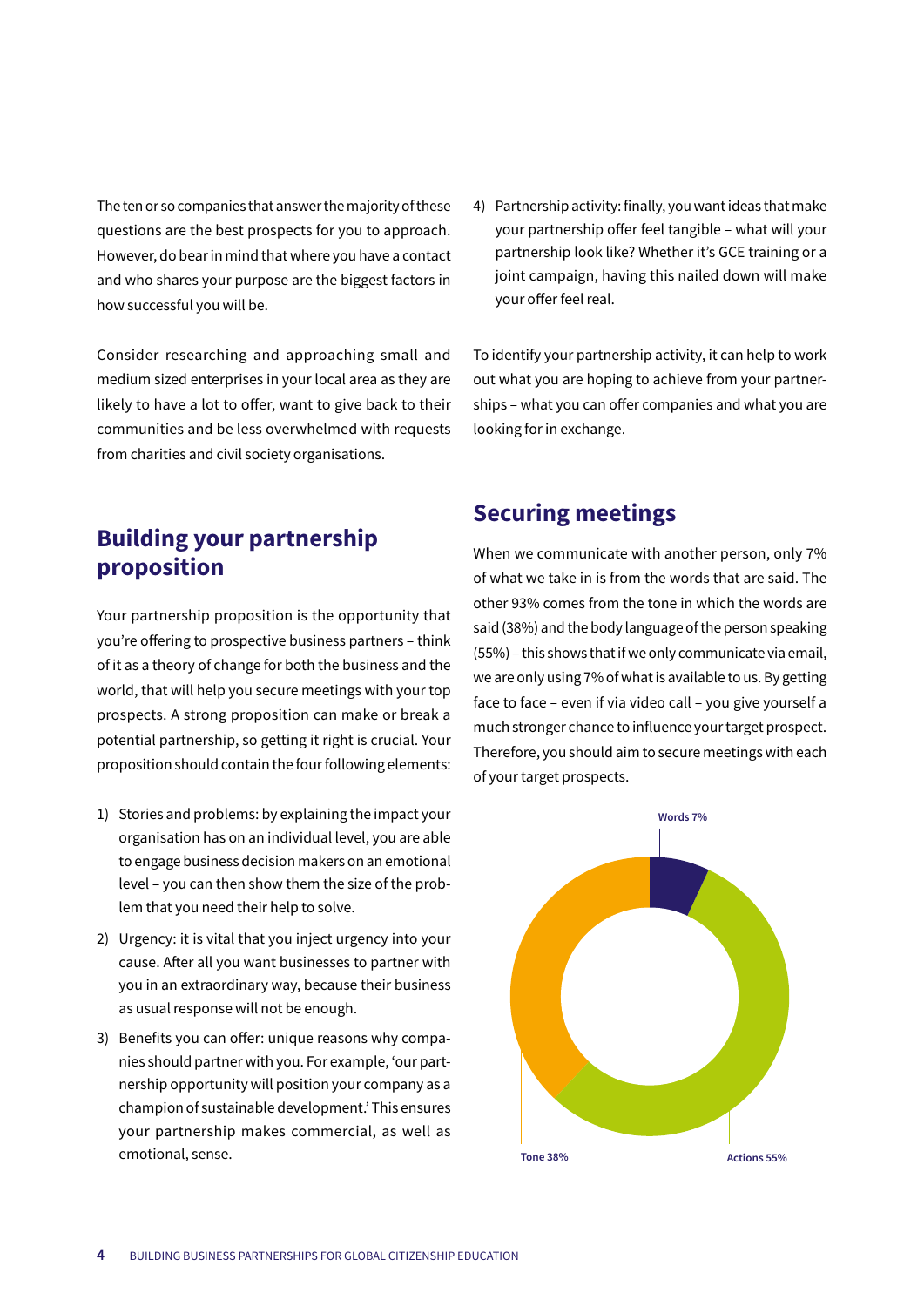The ten or so companies that answer the majority of these questions are the best prospects for you to approach. However, do bear in mind that where you have a contact and who shares your purpose are the biggest factors in how successful you will be.

Consider researching and approaching small and medium sized enterprises in your local area as they are likely to have a lot to offer, want to give back to their communities and be less overwhelmed with requests from charities and civil society organisations.

**Building your partnership proposition**

Your partnership proposition is the opportunity that you're offering to prospective business partners – think of it as a theory of change for both the business and the world, that will help you secure meetings with your top prospects. A strong proposition can make or break a potential partnership, so getting it right is crucial. Your proposition should contain the four following elements:

- 1) Stories and problems: by explaining the impact your organisation has on an individual level, you are able to engage business decision makers on an emotional level – you can then show them the size of the problem that you need their help to solve.
- 2) Urgency: it is vital that you inject urgency into your cause. After all you want businesses to partner with you in an extraordinary way, because their business as usual response will not be enough.
- 3) Benefits you can offer: unique reasons why companies should partner with you. For example, 'our partnership opportunity will position your company as a champion of sustainable development.' This ensures your partnership makes commercial, as well as emotional, sense.

4) Partnership activity: finally, you want ideas that make your partnership offer feel tangible – what will your partnership look like? Whether it's GCE training or a joint campaign, having this nailed down will make your offer feel real.

To identify your partnership activity, it can help to work out what you are hoping to achieve from your partnerships – what you can offer companies and what you are looking for in exchange.

### **Securing meetings**

When we communicate with another person, only 7% of what we take in is from the words that are said. The other 93% comes from the tone in which the words are said (38%) and the body language of the person speaking (55%) – this shows that if we only communicate via email, we are only using 7% of what is available to us. By getting face to face – even if via video call – you give yourself a much stronger chance to influence your target prospect. Therefore, you should aim to secure meetings with each of your target prospects.

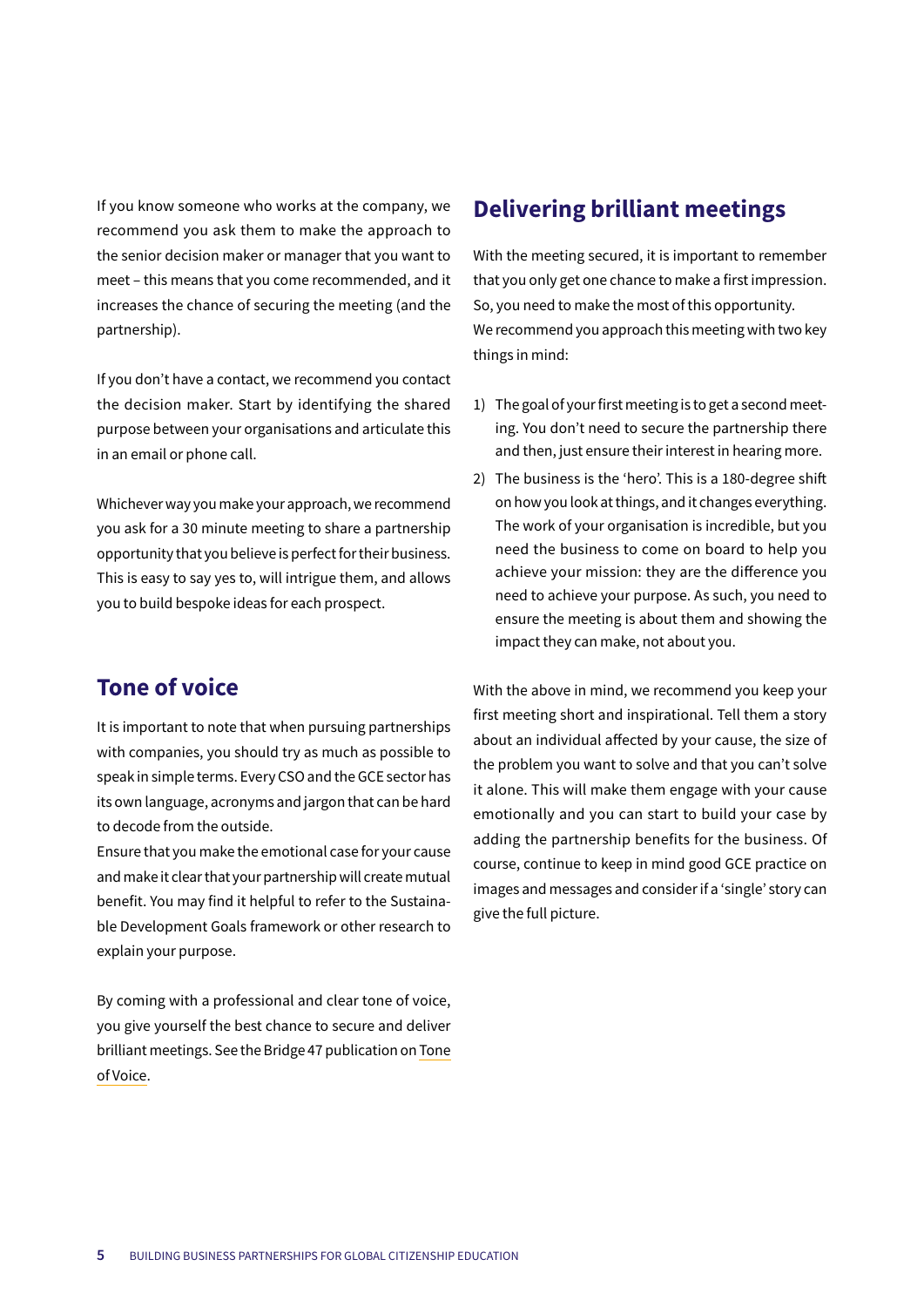If you know someone who works at the company, we recommend you ask them to make the approach to the senior decision maker or manager that you want to meet – this means that you come recommended, and it increases the chance of securing the meeting (and the partnership).

If you don't have a contact, we recommend you contact the decision maker. Start by identifying the shared purpose between your organisations and articulate this in an email or phone call.

Whichever way you make your approach, we recommend you ask for a 30 minute meeting to share a partnership opportunity that you believe is perfect for their business. This is easy to say yes to, will intrigue them, and allows you to build bespoke ideas for each prospect.

## **Tone of voice**

It is important to note that when pursuing partnerships with companies, you should try as much as possible to speak in simple terms. Every CSO and the GCE sector has its own language, acronyms and jargon that can be hard to decode from the outside.

Ensure that you make the emotional case for your cause and make it clear that your partnership will create mutual benefit. You may find it helpful to refer to the Sustainable Development Goals framework or other research to explain your purpose.

By coming with a professional and clear tone of voice, you give yourself the best chance to secure and deliver brilliant meetings. See the Bridge 47 publication on Tone of Voice.

# **Delivering brilliant meetings**

With the meeting secured, it is important to remember that you only get one chance to make a first impression. So, you need to make the most of this opportunity. We recommend you approach this meeting with two key things in mind:

- 1) The goal of your first meeting is to get a second meeting. You don't need to secure the partnership there and then, just ensure their interest in hearing more.
- 2) The business is the 'hero'. This is a 180-degree shift on how you look at things, and it changes everything. The work of your organisation is incredible, but you need the business to come on board to help you achieve your mission: they are the difference you need to achieve your purpose. As such, you need to ensure the meeting is about them and showing the impact they can make, not about you.

With the above in mind, we recommend you keep your first meeting short and inspirational. Tell them a story about an individual affected by your cause, the size of the problem you want to solve and that you can't solve it alone. This will make them engage with your cause emotionally and you can start to build your case by adding the partnership benefits for the business. Of course, continue to keep in mind good GCE practice on images and messages and consider if a 'single' story can give the full picture.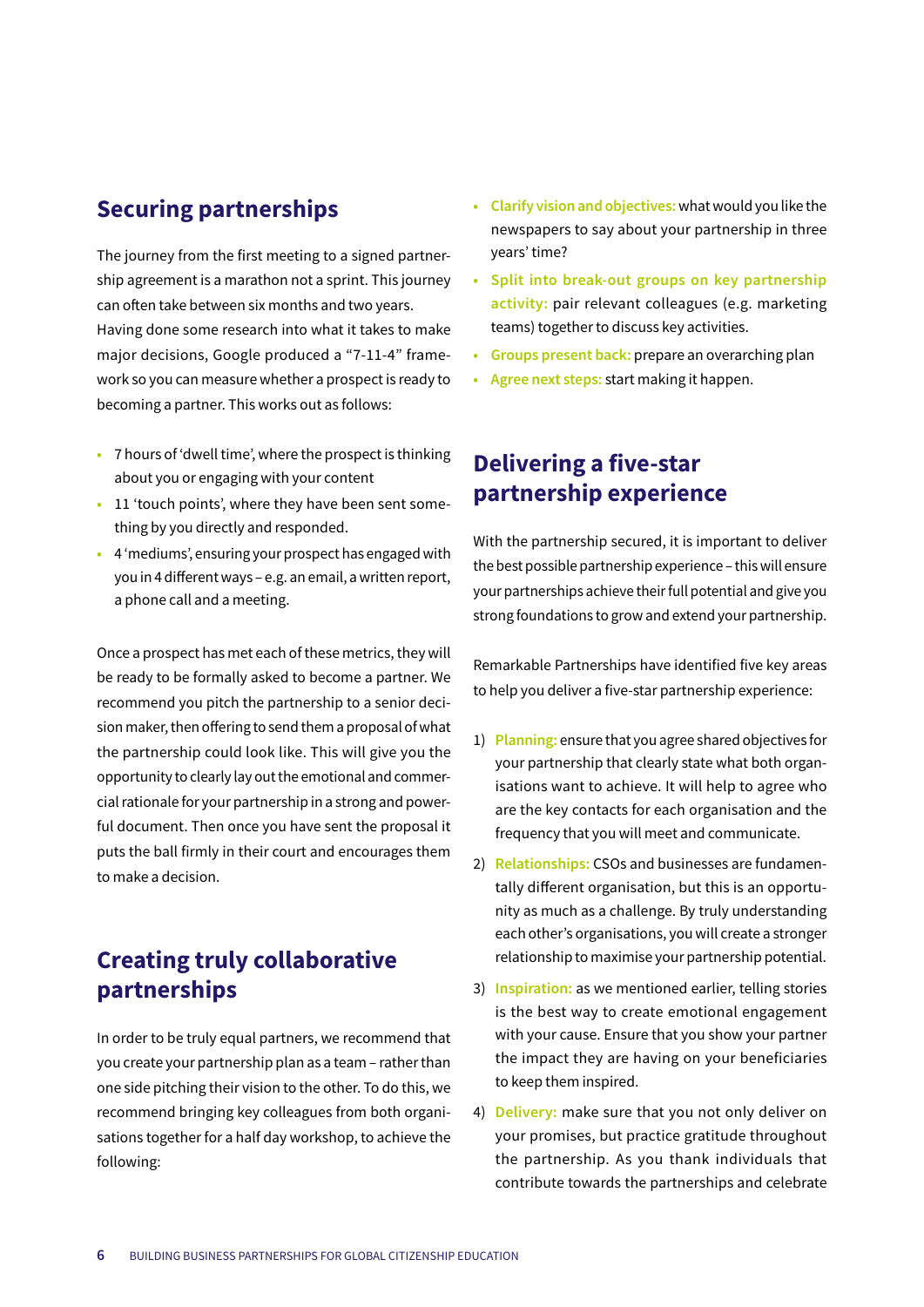## **Securing partnerships**

The journey from the first meeting to a signed partnership agreement is a marathon not a sprint. This journey can often take between six months and two years. Having done some research into what it takes to make major decisions, Google produced a "7-11-4" framework so you can measure whether a prospect is ready to becoming a partner. This works out as follows:

- **•** 7 hours of 'dwell time', where the prospect is thinking about you or engaging with your content
- **•** 11 'touch points', where they have been sent something by you directly and responded.
- **•** 4 'mediums', ensuring your prospect has engaged with you in 4 different ways – e.g. an email, a written report, a phone call and a meeting.

Once a prospect has met each of these metrics, they will be ready to be formally asked to become a partner. We recommend you pitch the partnership to a senior decision maker, then offering to send them a proposal of what the partnership could look like. This will give you the opportunity to clearly lay out the emotional and commercial rationale for your partnership in a strong and powerful document. Then once you have sent the proposal it puts the ball firmly in their court and encourages them to make a decision.

## **Creating truly collaborative partnerships**

In order to be truly equal partners, we recommend that you create your partnership plan as a team – rather than one side pitching their vision to the other. To do this, we recommend bringing key colleagues from both organisations together for a half day workshop, to achieve the following:

- **• Clarify vision and objectives:** what would you like the newspapers to say about your partnership in three years' time?
- **• Split into break-out groups on key partnership activity:** pair relevant colleagues (e.g. marketing teams) together to discuss key activities.
- **• Groups present back:** prepare an overarching plan
- **• Agree next steps:** start making it happen.

## **Delivering a five-star partnership experience**

With the partnership secured, it is important to deliver the best possible partnership experience – this will ensure your partnerships achieve their full potential and give you strong foundations to grow and extend your partnership.

Remarkable Partnerships have identified five key areas to help you deliver a five-star partnership experience:

- 1) **Planning:** ensure that you agree shared objectives for your partnership that clearly state what both organisations want to achieve. It will help to agree who are the key contacts for each organisation and the frequency that you will meet and communicate.
- 2) **Relationships:** CSOs and businesses are fundamentally different organisation, but this is an opportunity as much as a challenge. By truly understanding each other's organisations, you will create a stronger relationship to maximise your partnership potential.
- 3) **Inspiration:** as we mentioned earlier, telling stories is the best way to create emotional engagement with your cause. Ensure that you show your partner the impact they are having on your beneficiaries to keep them inspired.
- 4) **Delivery:** make sure that you not only deliver on your promises, but practice gratitude throughout the partnership. As you thank individuals that contribute towards the partnerships and celebrate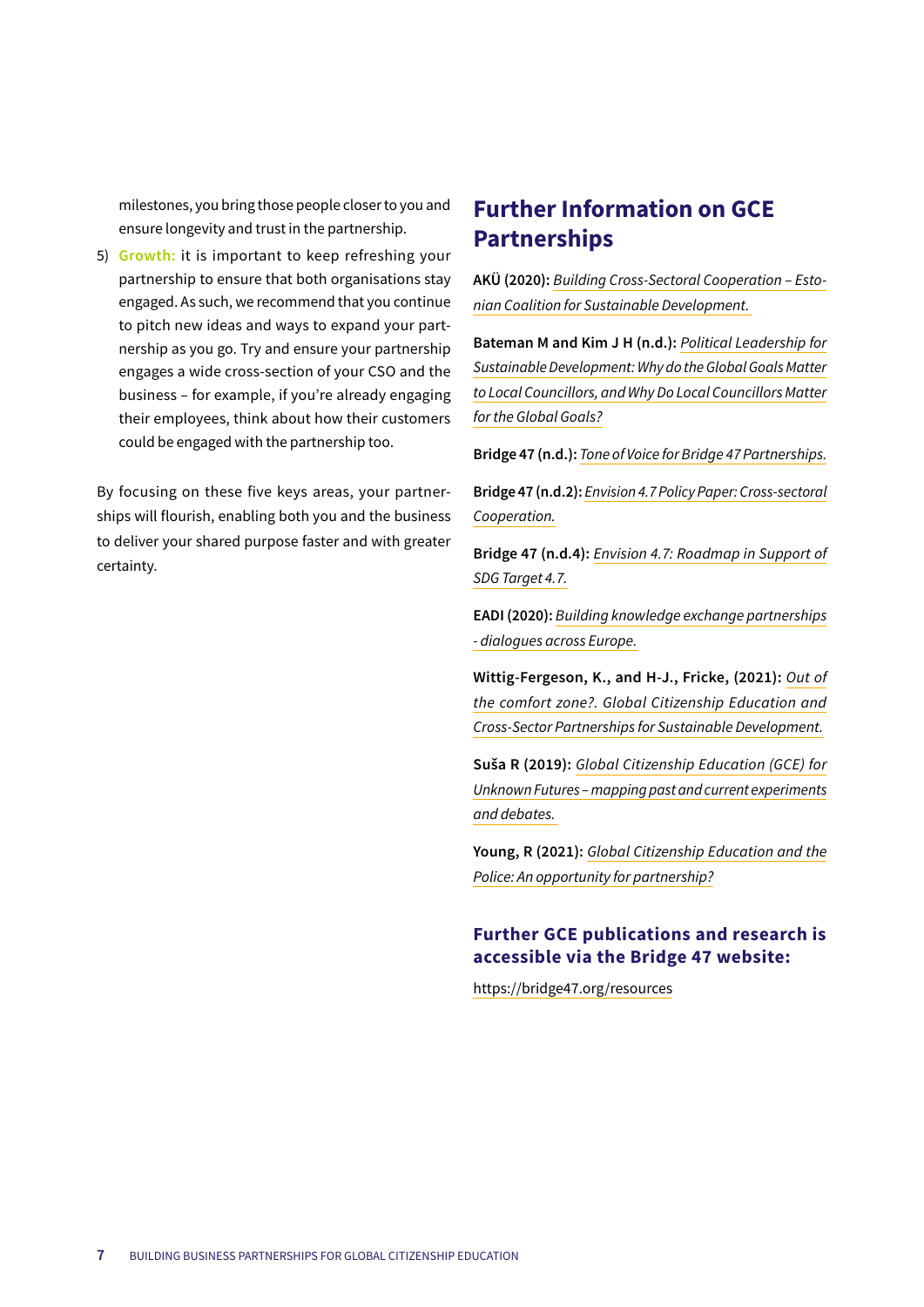milestones, you bring those people closer to you and ensure longevity and trust in the partnership.

5) **Growth:** it is important to keep refreshing your partnership to ensure that both organisations stay engaged. As such, we recommend that you continue to pitch new ideas and ways to expand your partnership as you go. Try and ensure your partnership engages a wide cross-section of your CSO and the business – for example, if you're already engaging their employees, think about how their customers could be engaged with the partnership too.

By focusing on these five keys areas, your partnerships will flourish, enabling both you and the business to deliver your shared purpose faster and with greater certainty.

## **Further Information on GCE Partnerships**

**AKÜ (2020):** *Building Cross-Sectoral Cooperation – Estonian Coalition for Sustainable Development.*

**Bateman M and Kim J H (n.d.):** *Political Leadership for Sustainable Development: Why do the Global Goals Matter to Local Councillors, and Why Do Local Councillors Matter for the Global Goals?*

**Bridge 47 (n.d.):** *Tone of Voice for Bridge 47 Partnerships.*

**Bridge 47 (n.d.2):** *Envision 4.7 Policy Paper: Cross-sectoral Cooperation.*

**Bridge 47 (n.d.4):** *Envision 4.7: Roadmap in Support of SDG Target 4.7.*

**EADI (2020):** *Building knowledge exchange partnerships - dialogues across Europe.*

**Wittig-Fergeson, K., and H-J., Fricke, (2021):** *Out of the comfort zone?. Global Citizenship Education and Cross-Sector Partnerships for Sustainable Development.*

**Suša R (2019):** *Global Citizenship Education (GCE) for Unknown Futures – mapping past and current experiments and debates.*

**Young, R (2021):** *Global Citizenship Education and the Police: An opportunity for partnership?*

#### **Further GCE publications and research is accessible via the Bridge 47 website:**

https://bridge47.org/resources